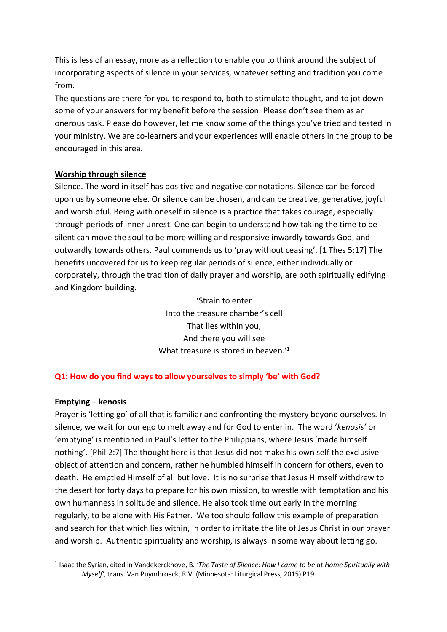This is less of an essay, more as a reflection to enable you to think around the subject of incorporating aspects of silence in your services, whatever setting and tradition you come from.

The questions are there for you to respond to, both to stimulate thought, and to jot down some of your answers for my benefit before the session. Please don't see them as an onerous task. Please do however, let me know some of the things you've tried and tested in your ministry. We are co-learners and your experiences will enable others in the group to be encouraged in this area.

### **Worship through silence**

Silence. The word in itself has positive and negative connotations. Silence can be forced upon us by someone else. Or silence can be chosen, and can be creative, generative, joyful and worshipful. Being with oneself in silence is a practice that takes courage, especially through periods of inner unrest. One can begin to understand how taking the time to be silent can move the soul to be more willing and responsive inwardly towards God, and outwardly towards others. Paul commends us to 'pray without ceasing'. [1 Thes 5:17] The benefits uncovered for us to keep regular periods of silence, either individually or corporately, through the tradition of daily prayer and worship, are both spiritually edifying and Kingdom building.

> 'Strain to enter Into the treasure chamber's cell That lies within you, And there you will see What treasure is stored in heaven.<sup>'1</sup>

### **Q1: How do you find ways to allow yourselves to simply 'be' with God?**

### **Emptying – kenosis**

Prayer is 'letting go' of all that is familiar and confronting the mystery beyond ourselves. In silence, we wait for our ego to melt away and for God to enter in. The word '*kenosis'* or 'emptying' is mentioned in Paul's letter to the Philippians, where Jesus 'made himself nothing'. [Phil 2:7] The thought here is that Jesus did not make his own self the exclusive object of attention and concern, rather he humbled himself in concern for others, even to death. He emptied Himself of all but love. It is no surprise that Jesus Himself withdrew to the desert for forty days to prepare for his own mission, to wrestle with temptation and his own humanness in solitude and silence. He also took time out early in the morning regularly, to be alone with His Father. We too should follow this example of preparation and search for that which lies within, in order to imitate the life of Jesus Christ in our prayer and worship. Authentic spirituality and worship, is always in some way about letting go.

 <sup>1</sup> Isaac the Syrian, cited in Vandekerckhove, B. *'The Taste of Silence: How I came to be at Home Spiritually with Myself',* trans. Van Puymbroeck, R.V. (Minnesota: Liturgical Press, 2015) P19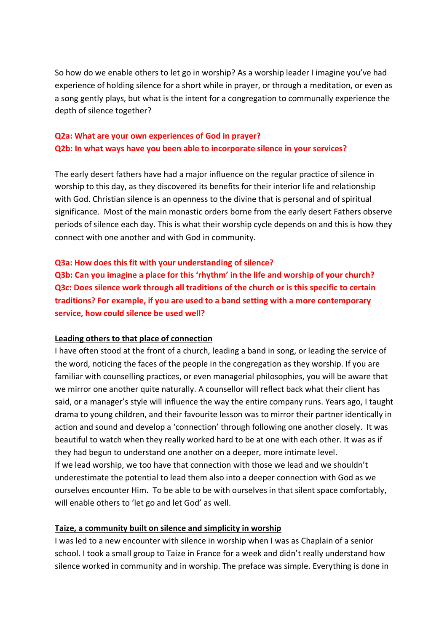So how do we enable others to let go in worship? As a worship leader I imagine you've had experience of holding silence for a short while in prayer, or through a meditation, or even as a song gently plays, but what is the intent for a congregation to communally experience the depth of silence together?

## **Q2a: What are your own experiences of God in prayer? Q2b: In what ways have you been able to incorporate silence in your services?**

The early desert fathers have had a major influence on the regular practice of silence in worship to this day, as they discovered its benefits for their interior life and relationship with God. Christian silence is an openness to the divine that is personal and of spiritual significance. Most of the main monastic orders borne from the early desert Fathers observe periods of silence each day. This is what their worship cycle depends on and this is how they connect with one another and with God in community.

#### **Q3a: How does this fit with your understanding of silence?**

**Q3b: Can you imagine a place for this 'rhythm' in the life and worship of your church? Q3c: Does silence work through all traditions of the church or is this specific to certain traditions? For example, if you are used to a band setting with a more contemporary service, how could silence be used well?**

#### **Leading others to that place of connection**

I have often stood at the front of a church, leading a band in song, or leading the service of the word, noticing the faces of the people in the congregation as they worship. If you are familiar with counselling practices, or even managerial philosophies, you will be aware that we mirror one another quite naturally. A counsellor will reflect back what their client has said, or a manager's style will influence the way the entire company runs. Years ago, I taught drama to young children, and their favourite lesson was to mirror their partner identically in action and sound and develop a 'connection' through following one another closely. It was beautiful to watch when they really worked hard to be at one with each other. It was as if they had begun to understand one another on a deeper, more intimate level. If we lead worship, we too have that connection with those we lead and we shouldn't underestimate the potential to lead them also into a deeper connection with God as we ourselves encounter Him. To be able to be with ourselves in that silent space comfortably, will enable others to 'let go and let God' as well.

#### **Taize, a community built on silence and simplicity in worship**

I was led to a new encounter with silence in worship when I was as Chaplain of a senior school. I took a small group to Taize in France for a week and didn't really understand how silence worked in community and in worship. The preface was simple. Everything is done in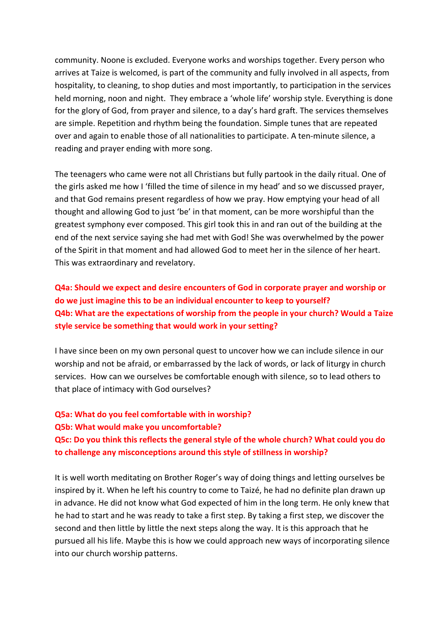community. Noone is excluded. Everyone works and worships together. Every person who arrives at Taize is welcomed, is part of the community and fully involved in all aspects, from hospitality, to cleaning, to shop duties and most importantly, to participation in the services held morning, noon and night. They embrace a 'whole life' worship style. Everything is done for the glory of God, from prayer and silence, to a day's hard graft. The services themselves are simple. Repetition and rhythm being the foundation. Simple tunes that are repeated over and again to enable those of all nationalities to participate. A ten-minute silence, a reading and prayer ending with more song.

The teenagers who came were not all Christians but fully partook in the daily ritual. One of the girls asked me how I 'filled the time of silence in my head' and so we discussed prayer, and that God remains present regardless of how we pray. How emptying your head of all thought and allowing God to just 'be' in that moment, can be more worshipful than the greatest symphony ever composed. This girl took this in and ran out of the building at the end of the next service saying she had met with God! She was overwhelmed by the power of the Spirit in that moment and had allowed God to meet her in the silence of her heart. This was extraordinary and revelatory.

**Q4a: Should we expect and desire encounters of God in corporate prayer and worship or do we just imagine this to be an individual encounter to keep to yourself? Q4b: What are the expectations of worship from the people in your church? Would a Taize style service be something that would work in your setting?** 

I have since been on my own personal quest to uncover how we can include silence in our worship and not be afraid, or embarrassed by the lack of words, or lack of liturgy in church services. How can we ourselves be comfortable enough with silence, so to lead others to that place of intimacy with God ourselves?

# **Q5a: What do you feel comfortable with in worship? Q5b: What would make you uncomfortable? Q5c: Do you think this reflects the general style of the whole church? What could you do to challenge any misconceptions around this style of stillness in worship?**

It is well worth meditating on Brother Roger's way of doing things and letting ourselves be inspired by it. When he left his country to come to Taizé, he had no definite plan drawn up in advance. He did not know what God expected of him in the long term. He only knew that he had to start and he was ready to take a first step. By taking a first step, we discover the second and then little by little the next steps along the way. It is this approach that he pursued all his life. Maybe this is how we could approach new ways of incorporating silence into our church worship patterns.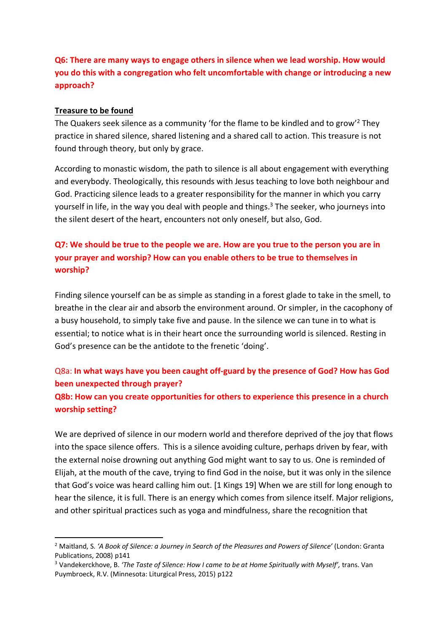# **Q6: There are many ways to engage others in silence when we lead worship. How would you do this with a congregation who felt uncomfortable with change or introducing a new approach?**

### **Treasure to be found**

The Quakers seek silence as a community 'for the flame to be kindled and to grow'2 They practice in shared silence, shared listening and a shared call to action. This treasure is not found through theory, but only by grace.

According to monastic wisdom, the path to silence is all about engagement with everything and everybody. Theologically, this resounds with Jesus teaching to love both neighbour and God. Practicing silence leads to a greater responsibility for the manner in which you carry yourself in life, in the way you deal with people and things. $3$  The seeker, who journeys into the silent desert of the heart, encounters not only oneself, but also, God.

# **Q7: We should be true to the people we are. How are you true to the person you are in your prayer and worship? How can you enable others to be true to themselves in worship?**

Finding silence yourself can be as simple as standing in a forest glade to take in the smell, to breathe in the clear air and absorb the environment around. Or simpler, in the cacophony of a busy household, to simply take five and pause. In the silence we can tune in to what is essential; to notice what is in their heart once the surrounding world is silenced. Resting in God's presence can be the antidote to the frenetic 'doing'.

### Q8a: **In what ways have you been caught off-guard by the presence of God? How has God been unexpected through prayer?**

### **Q8b: How can you create opportunities for others to experience this presence in a church worship setting?**

We are deprived of silence in our modern world and therefore deprived of the joy that flows into the space silence offers. This is a silence avoiding culture, perhaps driven by fear, with the external noise drowning out anything God might want to say to us. One is reminded of Elijah, at the mouth of the cave, trying to find God in the noise, but it was only in the silence that God's voice was heard calling him out. [1 Kings 19] When we are still for long enough to hear the silence, it is full. There is an energy which comes from silence itself. Major religions, and other spiritual practices such as yoga and mindfulness, share the recognition that

 <sup>2</sup> Maitland, S. *'A Book of Silence: a Journey in Search of the Pleasures and Powers of Silence'* (London: Granta Publications, 2008) p141

<sup>&</sup>lt;sup>3</sup> Vandekerckhove, B. 'The Taste of Silence: How I came to be at Home Spiritually with Myself', trans. Van Puymbroeck, R.V. (Minnesota: Liturgical Press, 2015) p122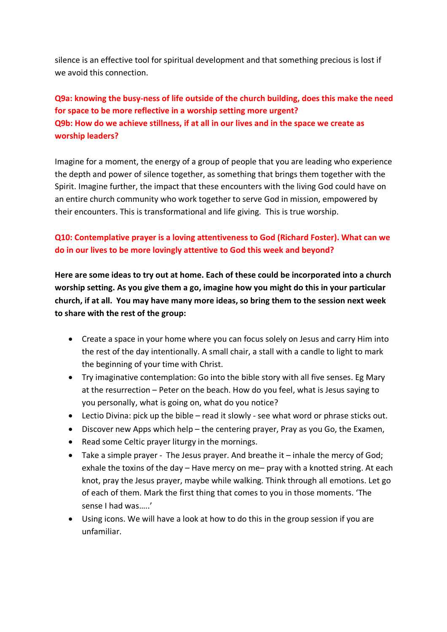silence is an effective tool for spiritual development and that something precious is lost if we avoid this connection.

# **Q9a: knowing the busy-ness of life outside of the church building, does this make the need for space to be more reflective in a worship setting more urgent? Q9b: How do we achieve stillness, if at all in our lives and in the space we create as worship leaders?**

Imagine for a moment, the energy of a group of people that you are leading who experience the depth and power of silence together, as something that brings them together with the Spirit. Imagine further, the impact that these encounters with the living God could have on an entire church community who work together to serve God in mission, empowered by their encounters. This is transformational and life giving. This is true worship.

## **Q10: Contemplative prayer is a loving attentiveness to God (Richard Foster). What can we do in our lives to be more lovingly attentive to God this week and beyond?**

**Here are some ideas to try out at home. Each of these could be incorporated into a church worship setting. As you give them a go, imagine how you might do this in your particular church, if at all. You may have many more ideas, so bring them to the session next week to share with the rest of the group:**

- Create a space in your home where you can focus solely on Jesus and carry Him into the rest of the day intentionally. A small chair, a stall with a candle to light to mark the beginning of your time with Christ.
- Try imaginative contemplation: Go into the bible story with all five senses. Eg Mary at the resurrection – Peter on the beach. How do you feel, what is Jesus saying to you personally, what is going on, what do you notice?
- Lectio Divina: pick up the bible read it slowly see what word or phrase sticks out.
- Discover new Apps which help the centering prayer, Pray as you Go, the Examen,
- Read some Celtic prayer liturgy in the mornings.
- Take a simple prayer The Jesus prayer. And breathe it inhale the mercy of God; exhale the toxins of the day – Have mercy on me– pray with a knotted string. At each knot, pray the Jesus prayer, maybe while walking. Think through all emotions. Let go of each of them. Mark the first thing that comes to you in those moments. 'The sense I had was…..'
- Using icons. We will have a look at how to do this in the group session if you are unfamiliar.